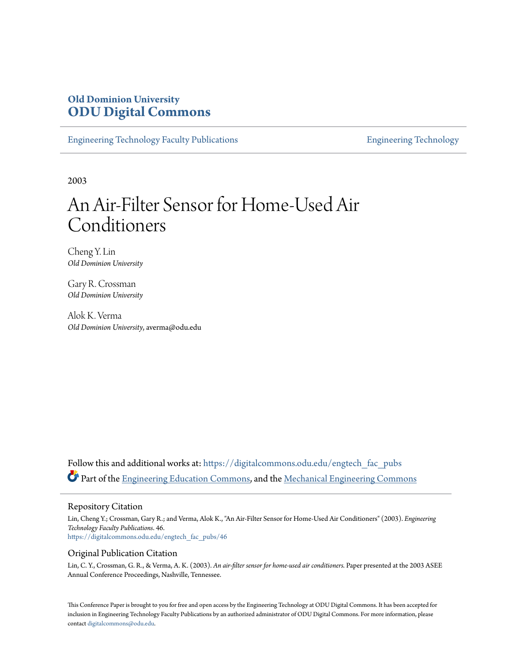# **Old Dominion University [ODU Digital Commons](https://digitalcommons.odu.edu?utm_source=digitalcommons.odu.edu%2Fengtech_fac_pubs%2F46&utm_medium=PDF&utm_campaign=PDFCoverPages)**

[Engineering Technology Faculty Publications](https://digitalcommons.odu.edu/engtech_fac_pubs?utm_source=digitalcommons.odu.edu%2Fengtech_fac_pubs%2F46&utm_medium=PDF&utm_campaign=PDFCoverPages) **[Engineering Technology](https://digitalcommons.odu.edu/engtech?utm_source=digitalcommons.odu.edu%2Fengtech_fac_pubs%2F46&utm_medium=PDF&utm_campaign=PDFCoverPages)** 

2003

# An Air-Filter Sensor for Home-Used Air Conditioners

Cheng Y. Lin *Old Dominion University*

Gary R. Crossman *Old Dominion University*

Alok K. Verma *Old Dominion University*, averma@odu.edu

Follow this and additional works at: [https://digitalcommons.odu.edu/engtech\\_fac\\_pubs](https://digitalcommons.odu.edu/engtech_fac_pubs?utm_source=digitalcommons.odu.edu%2Fengtech_fac_pubs%2F46&utm_medium=PDF&utm_campaign=PDFCoverPages) Part of the [Engineering Education Commons](http://network.bepress.com/hgg/discipline/1191?utm_source=digitalcommons.odu.edu%2Fengtech_fac_pubs%2F46&utm_medium=PDF&utm_campaign=PDFCoverPages), and the [Mechanical Engineering Commons](http://network.bepress.com/hgg/discipline/293?utm_source=digitalcommons.odu.edu%2Fengtech_fac_pubs%2F46&utm_medium=PDF&utm_campaign=PDFCoverPages)

#### Repository Citation

Lin, Cheng Y.; Crossman, Gary R.; and Verma, Alok K., "An Air-Filter Sensor for Home-Used Air Conditioners" (2003). *Engineering Technology Faculty Publications*. 46. [https://digitalcommons.odu.edu/engtech\\_fac\\_pubs/46](https://digitalcommons.odu.edu/engtech_fac_pubs/46?utm_source=digitalcommons.odu.edu%2Fengtech_fac_pubs%2F46&utm_medium=PDF&utm_campaign=PDFCoverPages)

#### Original Publication Citation

Lin, C. Y., Crossman, G. R., & Verma, A. K. (2003). *An air-filter sensor for home-used air conditioners.* Paper presented at the 2003 ASEE Annual Conference Proceedings, Nashville, Tennessee.

This Conference Paper is brought to you for free and open access by the Engineering Technology at ODU Digital Commons. It has been accepted for inclusion in Engineering Technology Faculty Publications by an authorized administrator of ODU Digital Commons. For more information, please contact [digitalcommons@odu.edu](mailto:digitalcommons@odu.edu).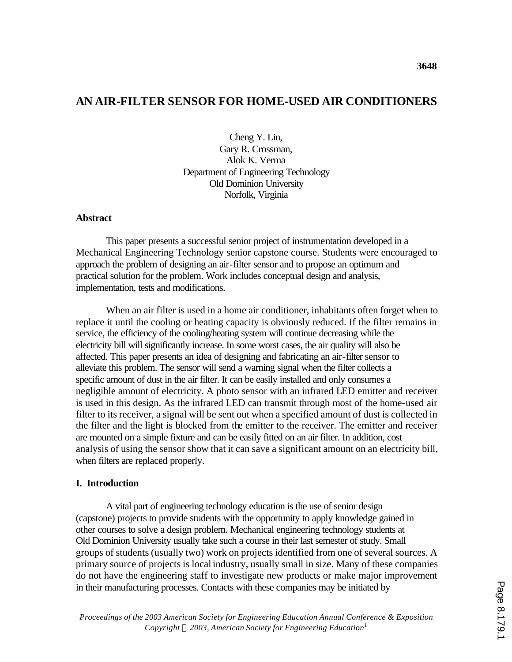# **AN AIR-FILTER SENSOR FOR HOME-USED AIR CONDITIONERS**

**3648**

Cheng Y. Lin, Gary R. Crossman, Alok K. Verma Department of Engineering Technology Old Dominion University Norfolk, Virginia

#### **Abstract**

This paper presents a successful senior project of instrumentation developed in a Mechanical Engineering Technology senior capstone course. Students were encouraged to approach the problem of designing an air-filter sensor and to propose an optimum and practical solution for the problem. Work includes conceptual design and analysis, implementation, tests and modifications.

When an air filter is used in a home air conditioner, inhabitants often forget when to replace it until the cooling or heating capacity is obviously reduced. If the filter remains in service, the efficiency of the cooling/heating system will continue decreasing while the electricity bill will significantly increase. In some worst cases, the air quality will also be affected. This paper presents an idea of designing and fabricating an air-filter sensor to alleviate this problem. The sensor will send a warning signal when the filter collects a specific amount of dust in the air filter. It can be easily installed and only consumes a negligible amount of electricity. A photo sensor with an infrared LED emitter and receiver is used in this design. As the infrared LED can transmit through most of the home-used air filter to its receiver, a signal will be sent out when a specified amount of dust is collected in the filter and the light is blocked from the emitter to the receiver. The emitter and receiver are mounted on a simple fixture and can be easily fitted on an air filter. In addition, cost analysis of using the sensor show that it can save a significant amount on an electricity bill, when filters are replaced properly.

#### **I. Introduction**

A vital part of engineering technology education is the use of senior design (capstone) projects to provide students with the opportunity to apply knowledge gained in other courses to solve a design problem. Mechanical engineering technology students at Old Dominion University usually take such a course in their last semester of study. Small groups of students (usually two) work on projects identified from one of several sources. A primary source of projects is local industry, usually small in size. Many of these companies do not have the engineering staff to investigate new products or make major improvement in their manufacturing processes. Contacts with these companies may be initiated by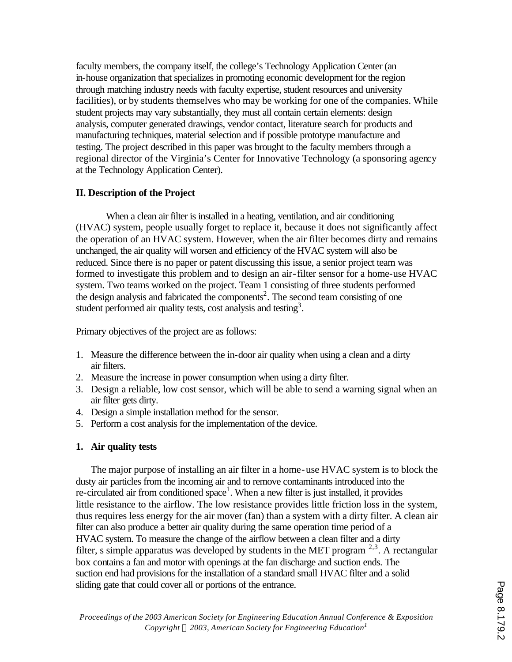faculty members, the company itself, the college's Technology Application Center (an in-house organization that specializes in promoting economic development for the region through matching industry needs with faculty expertise, student resources and university facilities), or by students themselves who may be working for one of the companies. While student projects may vary substantially, they must all contain certain elements: design analysis, computer generated drawings, vendor contact, literature search for products and manufacturing techniques, material selection and if possible prototype manufacture and testing. The project described in this paper was brought to the faculty members through a regional director of the Virginia's Center for Innovative Technology (a sponsoring agency at the Technology Application Center).

## **II. Description of the Project**

When a clean air filter is installed in a heating, ventilation, and air conditioning (HVAC) system, people usually forget to replace it, because it does not significantly affect the operation of an HVAC system. However, when the air filter becomes dirty and remains unchanged, the air quality will worsen and efficiency of the HVAC system will also be reduced. Since there is no paper or patent discussing this issue, a senior project team was formed to investigate this problem and to design an air-filter sensor for a home-use HVAC system. Two teams worked on the project. Team 1 consisting of three students performed the design analysis and fabricated the components<sup>2</sup>. The second team consisting of one student performed air quality tests, cost analysis and testing<sup>3</sup>.

Primary objectives of the project are as follows:

- 1. Measure the difference between the in-door air quality when using a clean and a dirty air filters.
- 2. Measure the increase in power consumption when using a dirty filter.
- 3. Design a reliable, low cost sensor, which will be able to send a warning signal when an air filter gets dirty.
- 4. Design a simple installation method for the sensor.
- 5. Perform a cost analysis for the implementation of the device.

#### **1. Air quality tests**

The major purpose of installing an air filter in a home-use HVAC system is to block the dusty air particles from the incoming air and to remove contaminants introduced into the re-circulated air from conditioned space<sup>1</sup>. When a new filter is just installed, it provides little resistance to the airflow. The low resistance provides little friction loss in the system, thus requires less energy for the air mover (fan) than a system with a dirty filter. A clean air filter can also produce a better air quality during the same operation time period of a HVAC system. To measure the change of the airflow between a clean filter and a dirty filter, s simple apparatus was developed by students in the MET program  $2,3$ . A rectangular box contains a fan and motor with openings at the fan discharge and suction ends. The suction end had provisions for the installation of a standard small HVAC filter and a solid sliding gate that could cover all or portions of the entrance.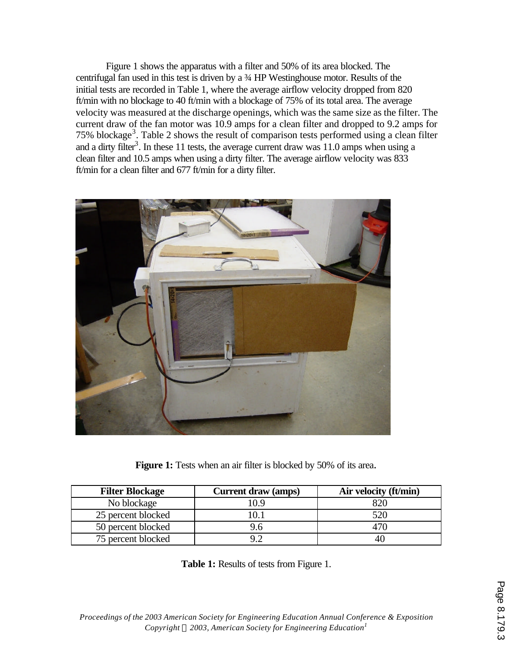Figure 1 shows the apparatus with a filter and 50% of its area blocked. The centrifugal fan used in this test is driven by a ¾ HP Westinghouse motor. Results of the initial tests are recorded in Table 1, where the average airflow velocity dropped from 820 ft/min with no blockage to 40 ft/min with a blockage of 75% of its total area. The average velocity was measured at the discharge openings, which was the same size as the filter. The current draw of the fan motor was 10.9 amps for a clean filter and dropped to 9.2 amps for 75% blockage<sup>3</sup>. Table 2 shows the result of comparison tests performed using a clean filter and a dirty filter<sup>3</sup>. In these 11 tests, the average current draw was  $11.0$  amps when using a clean filter and 10.5 amps when using a dirty filter. The average airflow velocity was 833 ft/min for a clean filter and 677 ft/min for a dirty filter.



**Figure 1:** Tests when an air filter is blocked by 50% of its area.

| <b>Filter Blockage</b> | Current draw (amps) | Air velocity (ft/min) |
|------------------------|---------------------|-----------------------|
| No blockage            | 10.9                | 820                   |
| 25 percent blocked     |                     | 520                   |
| 50 percent blocked     | 9.6                 | 470                   |
| 75 percent blocked     |                     |                       |

**Table 1:** Results of tests from Figure 1.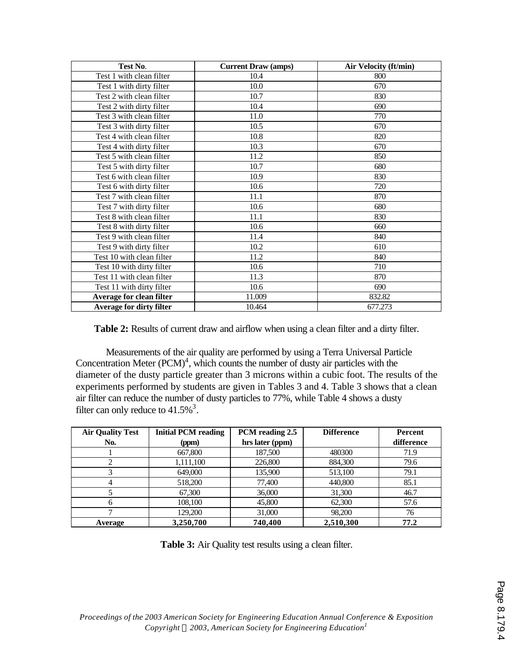| Test No.                        | <b>Current Draw (amps)</b> | <b>Air Velocity (ft/min)</b> |
|---------------------------------|----------------------------|------------------------------|
| Test 1 with clean filter        | 10.4                       | 800                          |
| Test 1 with dirty filter        | 10.0                       | 670                          |
| Test 2 with clean filter        | 10.7                       | 830                          |
| Test 2 with dirty filter        | 10.4                       | 690                          |
| Test 3 with clean filter        | 11.0                       | 770                          |
| Test 3 with dirty filter        | 10.5                       | 670                          |
| Test 4 with clean filter        | 10.8                       | 820                          |
| Test 4 with dirty filter        | 10.3                       | 670                          |
| Test 5 with clean filter        | 11.2                       | 850                          |
| Test 5 with dirty filter        | 10.7                       | 680                          |
| Test 6 with clean filter        | 10.9                       | 830                          |
| Test 6 with dirty filter        | 10.6                       | 720                          |
| Test 7 with clean filter        | 11.1                       | 870                          |
| Test 7 with dirty filter        | 10.6                       | 680                          |
| Test 8 with clean filter        | 11.1                       | 830                          |
| Test 8 with dirty filter        | 10.6                       | 660                          |
| Test 9 with clean filter        | 11.4                       | 840                          |
| Test 9 with dirty filter        | 10.2                       | 610                          |
| Test 10 with clean filter       | 11.2                       | 840                          |
| Test 10 with dirty filter       | 10.6                       | 710                          |
| Test 11 with clean filter       | 11.3                       | 870                          |
| Test 11 with dirty filter       | 10.6                       | 690                          |
| Average for clean filter        | 11.009                     | 832.82                       |
| <b>Average for dirty filter</b> | 10.464                     | 677.273                      |

Table 2: Results of current draw and airflow when using a clean filter and a dirty filter.

Measurements of the air quality are performed by using a Terra Universal Particle Concentration Meter  $(PCM)^4$ , which counts the number of dusty air particles with the diameter of the dusty particle greater than 3 microns within a cubic foot. The results of the experiments performed by students are given in Tables 3 and 4. Table 3 shows that a clean air filter can reduce the number of dusty particles to 77%, while Table 4 shows a dusty filter can only reduce to  $41.5\%$ <sup>3</sup>.

| <b>Air Quality Test</b> | <b>Initial PCM reading</b> | PCM reading 2.5 | <b>Difference</b> | <b>Percent</b> |
|-------------------------|----------------------------|-----------------|-------------------|----------------|
| No.                     | (ppm)                      | hrs later (ppm) |                   | difference     |
|                         | 667,800                    | 187,500         | 480300            | 71.9           |
|                         | 1,111,100                  | 226,800         | 884,300           | 79.6           |
|                         | 649,000                    | 135,900         | 513,100           | 79.1           |
| 4                       | 518,200                    | 77,400          | 440,800           | 85.1           |
|                         | 67,300                     | 36,000          | 31,300            | 46.7           |
| 6                       | 108.100                    | 45,800          | 62,300            | 57.6           |
|                         | 129,200                    | 31,000          | 98,200            | 76             |
| Average                 | 3,250,700                  | 740,400         | 2,510,300         | 77.2           |

**Table 3:** Air Quality test results using a clean filter.

*Proceedings of the 2003 American Society for Engineering Education Annual Conference & Exposition Copyright Ó 2003, American Society for Engineering Education<sup>1</sup>*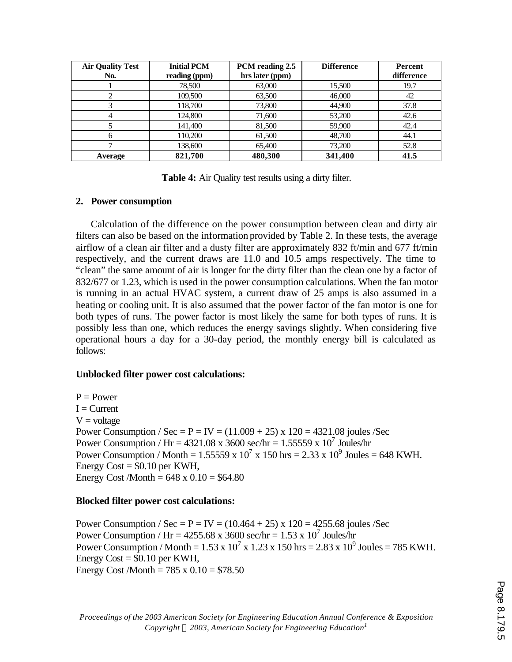| <b>Air Quality Test</b><br>No. | <b>Initial PCM</b><br>reading (ppm) | PCM reading 2.5<br>hrs later (ppm) | <b>Difference</b> | Percent<br>difference |
|--------------------------------|-------------------------------------|------------------------------------|-------------------|-----------------------|
|                                | 78,500                              | 63,000                             | 15,500            | 19.7                  |
|                                | 109,500                             | 63,500                             | 46,000            | 42                    |
|                                | 118,700                             | 73,800                             | 44,900            | 37.8                  |
| 4                              | 124,800                             | 71,600                             | 53,200            | 42.6                  |
|                                | 141,400                             | 81,500                             | 59,900            | 42.4                  |
| 6                              | 110.200                             | 61,500                             | 48,700            | 44.1                  |
|                                | 138,600                             | 65,400                             | 73,200            | 52.8                  |
| Average                        | 821,700                             | 480,300                            | 341,400           | 41.5                  |

**Table 4:** Air Quality test results using a dirty filter.

#### **2. Power consumption**

Calculation of the difference on the power consumption between clean and dirty air filters can also be based on the information provided by Table 2. In these tests, the average airflow of a clean air filter and a dusty filter are approximately 832 ft/min and 677 ft/min respectively, and the current draws are 11.0 and 10.5 amps respectively. The time to "clean" the same amount of air is longer for the dirty filter than the clean one by a factor of 832/677 or 1.23, which is used in the power consumption calculations. When the fan motor is running in an actual HVAC system, a current draw of 25 amps is also assumed in a heating or cooling unit. It is also assumed that the power factor of the fan motor is one for both types of runs. The power factor is most likely the same for both types of runs. It is possibly less than one, which reduces the energy savings slightly. When considering five operational hours a day for a 30-day period, the monthly energy bill is calculated as follows:

# **Unblocked filter power cost calculations:**

 $P = Power$  $I = Current$  $V =$ voltage Power Consumption / Sec =  $P = IV = (11.009 + 25)$  x  $120 = 4321.08$  joules /Sec Power Consumption / Hr =  $4321.08 \times 3600$  sec/hr =  $1.55559 \times 10^7$  Joules/hr Power Consumption / Month = 1.55559 x 10<sup>7</sup> x 150 hrs = 2.33 x 10<sup>9</sup> Joules = 648 KWH. Energy  $Cost = $0.10$  per KWH, Energy Cost /Month =  $648 \times 0.10 = $64.80$ 

# **Blocked filter power cost calculations:**

Power Consumption / Sec =  $P = IV = (10.464 + 25)$  x  $120 = 4255.68$  joules /Sec Power Consumption / Hr =  $4255.68 \times 3600$  sec/hr =  $1.53 \times 10^7$  Joules/hr Power Consumption / Month = 1.53 x  $10^7$  x 1.23 x 150 hrs = 2.83 x  $10^9$  Joules = 785 KWH. Energy  $Cost = $0.10$  per KWH, Energy Cost /Month =  $785 \times 0.10 = $78.50$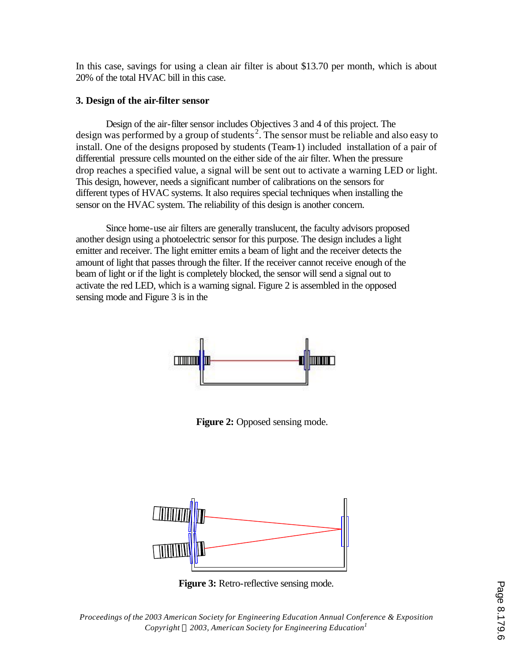In this case, savings for using a clean air filter is about \$13.70 per month, which is about 20% of the total HVAC bill in this case.

## **3. Design of the air-filter sensor**

Design of the air-filter sensor includes Objectives 3 and 4 of this project. The design was performed by a group of students<sup>2</sup>. The sensor must be reliable and also easy to install. One of the designs proposed by students (Team-1) included installation of a pair of differential pressure cells mounted on the either side of the air filter. When the pressure drop reaches a specified value, a signal will be sent out to activate a warning LED or light. This design, however, needs a significant number of calibrations on the sensors for different types of HVAC systems. It also requires special techniques when installing the sensor on the HVAC system. The reliability of this design is another concern.

Since home-use air filters are generally translucent, the faculty advisors proposed another design using a photoelectric sensor for this purpose. The design includes a light emitter and receiver. The light emitter emits a beam of light and the receiver detects the amount of light that passes through the filter. If the receiver cannot receive enough of the beam of light or if the light is completely blocked, the sensor will send a signal out to activate the red LED, which is a warning signal. Figure 2 is assembled in the opposed sensing mode and Figure 3 is in the



**Figure 2:** Opposed sensing mode.



*Proceedings of the 2003 American Society for Engineering Education Annual Conference & Exposition Copyright Ó 2003, American Society for Engineering Education<sup>1</sup>* **Figure 3:** Retro-reflective sensing mode.<br>
a a definition of the sensing mode and the series of the series of the series of the series of the series of t<br>
in the follows, American Society for Engineering Education<sup>1</sup><br>
in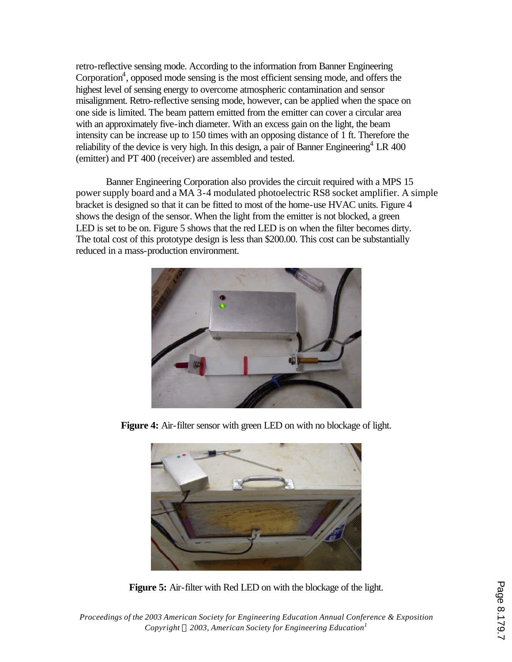retro-reflective sensing mode. According to the information from Banner Engineering Corporation<sup>4</sup>, opposed mode sensing is the most efficient sensing mode, and offers the highest level of sensing energy to overcome atmospheric contamination and sensor misalignment. Retro-reflective sensing mode, however, can be applied when the space on one side is limited. The beam pattern emitted from the emitter can cover a circular area with an approximately five-inch diameter. With an excess gain on the light, the beam intensity can be increase up to 150 times with an opposing distance of 1 ft. Therefore the reliability of the device is very high. In this design, a pair of Banner Engineering<sup>4</sup> LR 400 (emitter) and PT 400 (receiver) are assembled and tested.

Banner Engineering Corporation also provides the circuit required with a MPS 15 power supply board and a MA 3-4 modulated photoelectric RS8 socket amplifier. A simple bracket is designed so that it can be fitted to most of the home-use HVAC units. Figure 4 shows the design of the sensor. When the light from the emitter is not blocked, a green LED is set to be on. Figure 5 shows that the red LED is on when the filter becomes dirty. The total cost of this prototype design is less than \$200.00. This cost can be substantially reduced in a mass-production environment.



**Figure 4:** Air-filter sensor with green LED on with no blockage of light.



**Figure 5:** Air-filter with Red LED on with the blockage of the light.

*Proceedings of the 2003 American Society for Engineering Education Annual Conference & Exposition Copyright Ó 2003, American Society for Engineering Education<sup>1</sup>*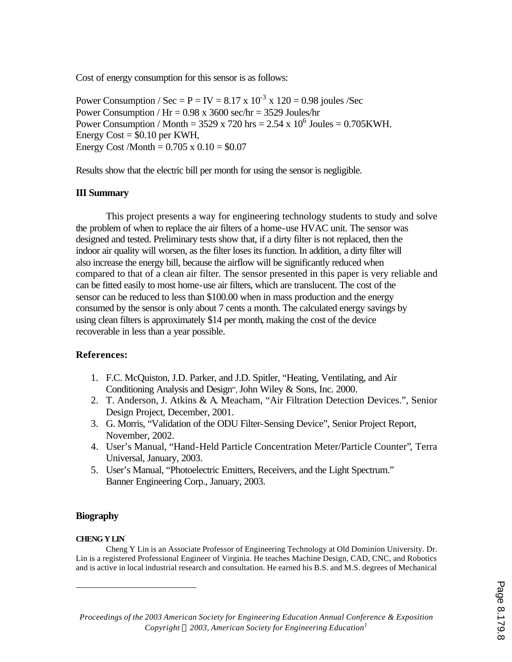Cost of energy consumption for this sensor is as follows:

Power Consumption / Sec =  $P = IV = 8.17 \times 10^{-3} \times 120 = 0.98$  joules /Sec Power Consumption /  $Hr = 0.98$  x 3600 sec/hr = 3529 Joules/hr Power Consumption / Month =  $3529 \times 720$  hrs =  $2.54 \times 10^6$  Joules =  $0.705$ KWH. Energy  $Cost = $0.10$  per KWH, Energy Cost /Month =  $0.705 \times 0.10 = $0.07$ 

Results show that the electric bill per month for using the sensor is negligible.

## **III Summary**

This project presents a way for engineering technology students to study and solve the problem of when to replace the air filters of a home-use HVAC unit. The sensor was designed and tested. Preliminary tests show that, if a dirty filter is not replaced, then the indoor air quality will worsen, as the filter loses its function. In addition, a dirty filter will also increase the energy bill, because the airflow will be significantly reduced when compared to that of a clean air filter. The sensor presented in this paper is very reliable and can be fitted easily to most home-use air filters, which are translucent. The cost of the sensor can be reduced to less than \$100.00 when in mass production and the energy consumed by the sensor is only about 7 cents a month. The calculated energy savings by using clean filters is approximately \$14 per month, making the cost of the device recoverable in less than a year possible.

#### **References:**

- 1. F.C. McQuiston, J.D. Parker, and J.D. Spitler, "Heating, Ventilating, and Air Conditioning Analysis and Design", John Wiley & Sons, Inc. 2000.
- 2. T. Anderson, J. Atkins & A. Meacham, "Air Filtration Detection Devices.", Senior Design Project, December, 2001.
- 3. G. Morris, "Validation of the ODU Filter-Sensing Device", Senior Project Report, November, 2002.
- 4. User's Manual, "Hand-Held Particle Concentration Meter/Particle Counter", Terra Universal, January, 2003.
- 5. User's Manual, "Photoelectric Emitters, Receivers, and the Light Spectrum." Banner Engineering Corp., January, 2003.

#### **Biography**

#### **CHENG Y LIN**<sup>⋅</sup>

 $\overline{a}$ 

Cheng Y Lin is an Associate Professor of Engineering Technology at Old Dominion University. Dr. Lin is a registered Professional Engineer of Virginia. He teaches Machine Design, CAD, CNC, and Robotics and is active in local industrial research and consultation. He earned his B.S. and M.S. degrees of Mechanical